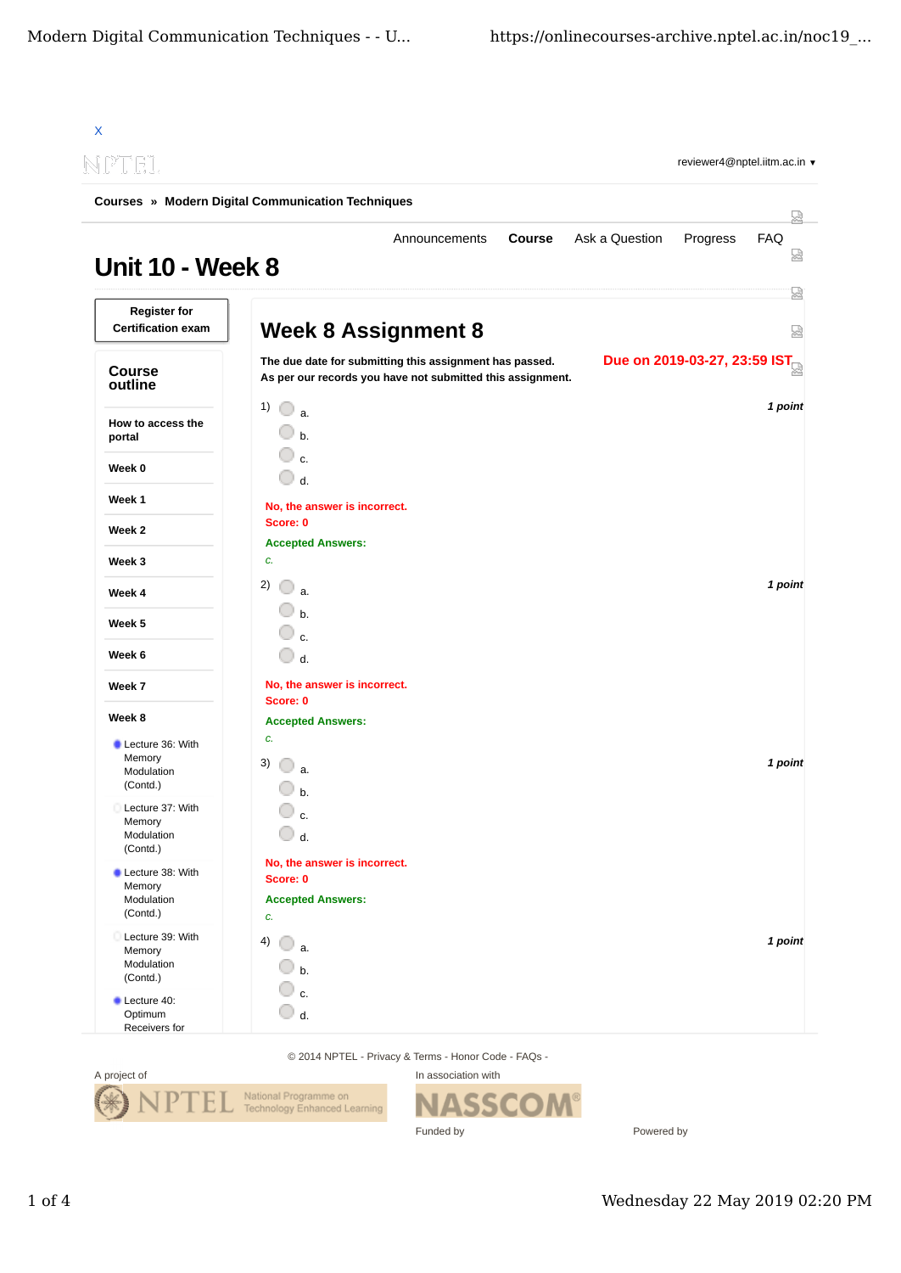|                                                      | <b>Courses » Modern Digital Communication Techniques</b>                                                                                              |               |
|------------------------------------------------------|-------------------------------------------------------------------------------------------------------------------------------------------------------|---------------|
| <b>Unit 10 - Week 8</b>                              | Ask a Question<br>Announcements<br><b>Course</b><br>Progress                                                                                          | 떥<br>FAQ<br>없 |
| <b>Register for</b><br><b>Certification exam</b>     | <b>Week 8 Assignment 8</b>                                                                                                                            | 눮<br>ಟ್       |
| <b>Course</b><br>outline                             | Due on 2019-03-27, 23:59 IST<br>The due date for submitting this assignment has passed.<br>As per our records you have not submitted this assignment. |               |
| How to access the<br>portal                          | 1)<br>$\bigcirc$ a.<br>$b$                                                                                                                            | 1 point       |
| Week 0                                               | c.<br>$\bigcirc$ d.                                                                                                                                   |               |
| Week 1                                               | No, the answer is incorrect.                                                                                                                          |               |
| Week 2                                               | Score: 0                                                                                                                                              |               |
| Week 3                                               | <b>Accepted Answers:</b><br>c.                                                                                                                        |               |
| Week 4                                               | 2)<br>$\bigcirc$ a.                                                                                                                                   | 1 point       |
| Week 5                                               | $\bigcirc$ b.                                                                                                                                         |               |
| Week 6                                               | $\mathbf{c}$<br>$\bigcirc$ d.                                                                                                                         |               |
| Week 7                                               | No, the answer is incorrect.<br>Score: 0                                                                                                              |               |
| Week 8                                               | <b>Accepted Answers:</b>                                                                                                                              |               |
| Lecture 36: With<br>Memory<br>Modulation<br>(Contd.) | c.<br>3)<br>a.<br>b.                                                                                                                                  | 1 point       |
| Lecture 37: With<br>Memory<br>Modulation<br>(Contd.) | c.<br>$\cup$ d.                                                                                                                                       |               |
| Lecture 38: With<br>Memory<br>Modulation<br>(Contd.) | No, the answer is incorrect.<br>Score: 0<br><b>Accepted Answers:</b><br>c.                                                                            |               |
| Lecture 39: With<br>Memory<br>Modulation<br>(Contd.) | 4) $\bigcirc$ a.<br>$\Box$ b.                                                                                                                         | 1 point       |
| Lecture 40:<br>Optimum<br>Receivers for              | c.<br>$\bigcirc$ d.                                                                                                                                   |               |

© 2014 NPTEL - Privacy & Terms - Honor Code - FAQs -



In association with SSC N Funded by

Powered by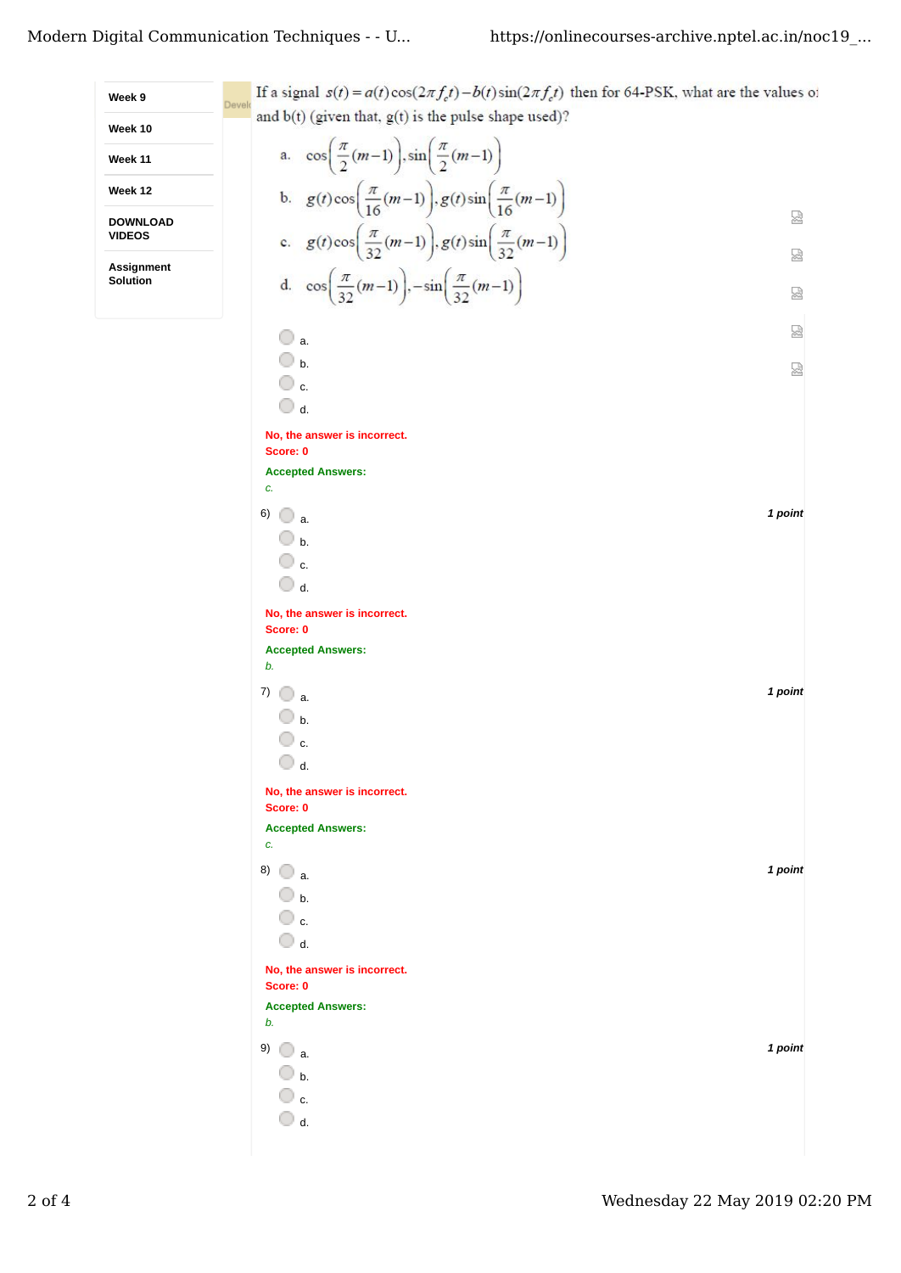| Week 9                        | If a signal $s(t) = a(t)\cos(2\pi f_c t) - b(t)\sin(2\pi f_c t)$ then for 64-PSK, what are the values of |         |
|-------------------------------|----------------------------------------------------------------------------------------------------------|---------|
| Week 10                       | Develo<br>and $b(t)$ (given that, $g(t)$ is the pulse shape used)?                                       |         |
| Week 11                       | a. $\cos\left(\frac{\pi}{2}(m-1)\right), \sin\left(\frac{\pi}{2}(m-1)\right)$                            |         |
| Week 12                       |                                                                                                          |         |
| <b>DOWNLOAD</b>               | b. $g(t)\cos\left(\frac{\pi}{16}(m-1)\right), g(t)\sin\left(\frac{\pi}{16}(m-1)\right)$                  | 딣       |
| <b>VIDEOS</b>                 | c. $g(t)\cos\left(\frac{\pi}{32}(m-1)\right), g(t)\sin\left(\frac{\pi}{32}(m-1)\right)$                  | 딣       |
| <b>Assignment</b><br>Solution | d. $\cos\left(\frac{\pi}{32}(m-1)\right), -\sin\left(\frac{\pi}{32}(m-1)\right)$                         |         |
|                               |                                                                                                          | ৣ       |
|                               | $\bigcirc$ a.                                                                                            | 얺       |
|                               | $\bigcirc$ b.<br>$\overline{\mathbb{O}}$ c.                                                              | 國       |
|                               | $\bigcirc$ d.                                                                                            |         |
|                               | No, the answer is incorrect.                                                                             |         |
|                               | Score: 0<br><b>Accepted Answers:</b>                                                                     |         |
|                               | c.                                                                                                       |         |
|                               | 6)<br>$\bigcirc$ a.<br>$\circledcirc$ b.                                                                 | 1 point |
|                               | $\overline{\mathbb{O}}$ c.                                                                               |         |
|                               | $\bigcirc$ d.                                                                                            |         |
|                               | No, the answer is incorrect.<br>Score: 0                                                                 |         |
|                               | <b>Accepted Answers:</b>                                                                                 |         |
|                               | b.<br>7)<br>$\Box$ a.                                                                                    | 1 point |
|                               | $\bigcirc$ b.                                                                                            |         |
|                               | ○ c.                                                                                                     |         |
|                               | $\bigcirc$ d.                                                                                            |         |
|                               | No, the answer is incorrect.<br>Score: 0                                                                 |         |
|                               | <b>Accepted Answers:</b><br>c.                                                                           |         |
|                               | 8) $\bigcirc$ a.                                                                                         | 1 point |
|                               | $\bigcirc$ b.                                                                                            |         |
|                               | $\bigcirc$ c.<br>$\bigcirc$ d.                                                                           |         |
|                               | No, the answer is incorrect.                                                                             |         |
|                               | Score: 0<br><b>Accepted Answers:</b>                                                                     |         |
|                               | b.                                                                                                       |         |
|                               | 9) $\bigcirc$ a                                                                                          | 1 point |
|                               | $\bigcirc$ b.<br>$\circ$ c.                                                                              |         |
|                               | $\bigcirc$ d.                                                                                            |         |
|                               |                                                                                                          |         |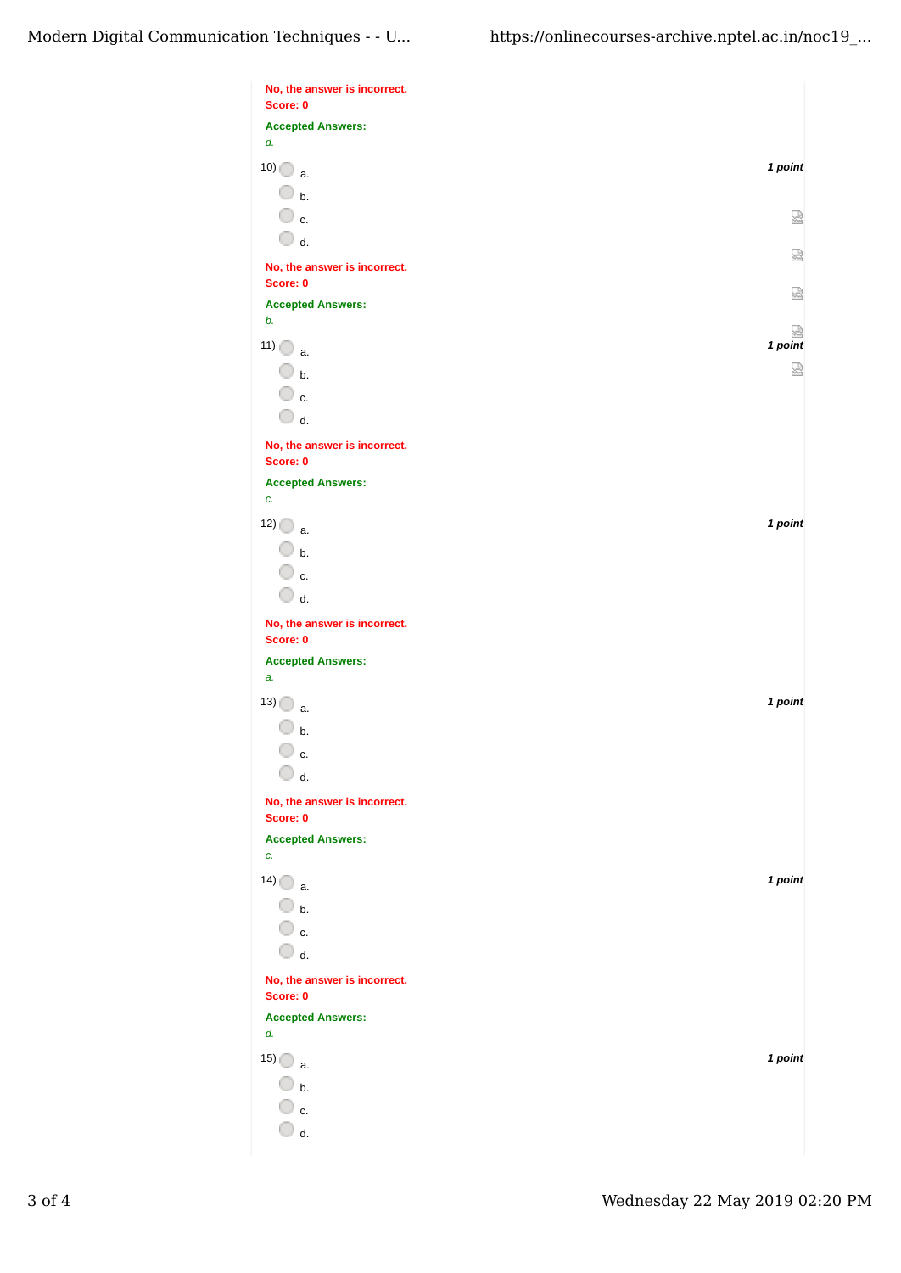| Score: 0                                 |              |
|------------------------------------------|--------------|
| <b>Accepted Answers:</b>                 |              |
| d.                                       |              |
| $10)$ a.                                 | 1 point      |
| $\overline{\mathbb{O}}$ b.               |              |
| $\overline{\mathbb{O}}$ c.               | ⊠            |
| $\bigcirc$ d.                            |              |
| No, the answer is incorrect.             | ⊠            |
| Score: 0                                 | 젏            |
| <b>Accepted Answers:</b><br>b.           |              |
| $11)$ $\bigcirc$ a.                      | 덣<br>1 point |
| $\Box$ b.                                | 딣            |
| $\overline{\mathbb{O}}$ c.               |              |
| $\bigcirc$ d.                            |              |
| No, the answer is incorrect.             |              |
| Score: 0                                 |              |
| <b>Accepted Answers:</b><br>C.           |              |
|                                          |              |
| $12)$ a.                                 | 1 point      |
| $\bigcirc$ b.                            |              |
| ○ c.<br>$\bigcirc$ d.                    |              |
|                                          |              |
| No, the answer is incorrect.<br>Score: 0 |              |
| <b>Accepted Answers:</b>                 |              |
| a.                                       |              |
| $13)$ a.                                 | 1 point      |
| $\mathsf{b}$ .                           |              |
| c.                                       |              |
| $\bigcirc$ d.                            |              |
| No, the answer is incorrect.             |              |
| Score: 0<br><b>Accepted Answers:</b>     |              |
| C.                                       |              |
| $14)$ a.                                 | 1 point      |
| $\overline{\mathbb{O}}$ b.               |              |
| $\overline{\mathbb{O}}$ c.               |              |
| $\bigcirc$ d.                            |              |
| No, the answer is incorrect.             |              |
|                                          |              |
| d.                                       |              |
| $15)$ a.                                 | 1 point      |
| $\Box$ b.                                |              |
| $\overline{\mathbb{O}}$ c.               |              |
| $\Box$ d.                                |              |
| Score: 0<br><b>Accepted Answers:</b>     |              |